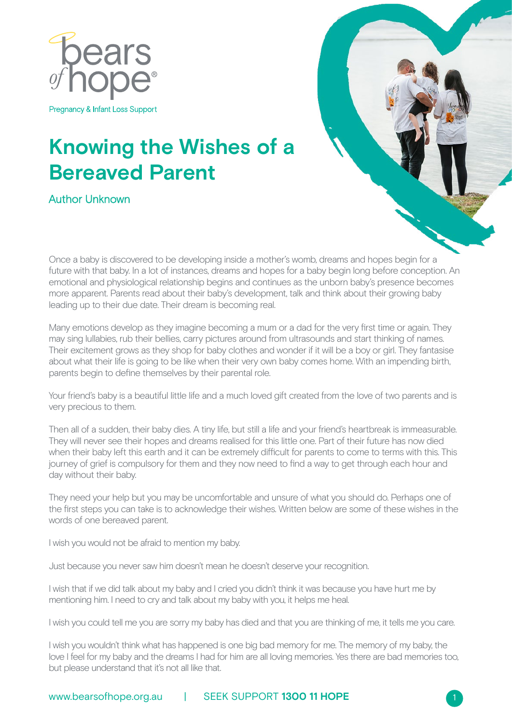

Pregnancy & Infant Loss Support

## **Knowing the Wishes of a Bereaved Parent**

Author Unknown



Once a baby is discovered to be developing inside a mother's womb, dreams and hopes begin for a future with that baby. In a lot of instances, dreams and hopes for a baby begin long before conception. An emotional and physiological relationship begins and continues as the unborn baby's presence becomes more apparent. Parents read about their baby's development, talk and think about their growing baby leading up to their due date. Their dream is becoming real.

Many emotions develop as they imagine becoming a mum or a dad for the very first time or again. They may sing lullabies, rub their bellies, carry pictures around from ultrasounds and start thinking of names. Their excitement grows as they shop for baby clothes and wonder if it will be a boy or girl. They fantasise about what their life is going to be like when their very own baby comes home. With an impending birth, parents begin to define themselves by their parental role.

Your friend's baby is a beautiful little life and a much loved gift created from the love of two parents and is very precious to them.

Then all of a sudden, their baby dies. A tiny life, but still a life and your friend's heartbreak is immeasurable. They will never see their hopes and dreams realised for this little one. Part of their future has now died when their baby left this earth and it can be extremely difficult for parents to come to terms with this. This journey of grief is compulsory for them and they now need to find a way to get through each hour and day without their baby.

They need your help but you may be uncomfortable and unsure of what you should do. Perhaps one of the first steps you can take is to acknowledge their wishes. Written below are some of these wishes in the words of one bereaved parent.

I wish you would not be afraid to mention my baby.

Just because you never saw him doesn't mean he doesn't deserve your recognition.

I wish that if we did talk about my baby and I cried you didn't think it was because you have hurt me by mentioning him. I need to cry and talk about my baby with you, it helps me heal.

I wish you could tell me you are sorry my baby has died and that you are thinking of me, it tells me you care.

I wish you wouldn't think what has happened is one big bad memory for me. The memory of my baby, the love I feel for my baby and the dreams I had for him are all loving memories. Yes there are bad memories too, but please understand that it's not all like that.